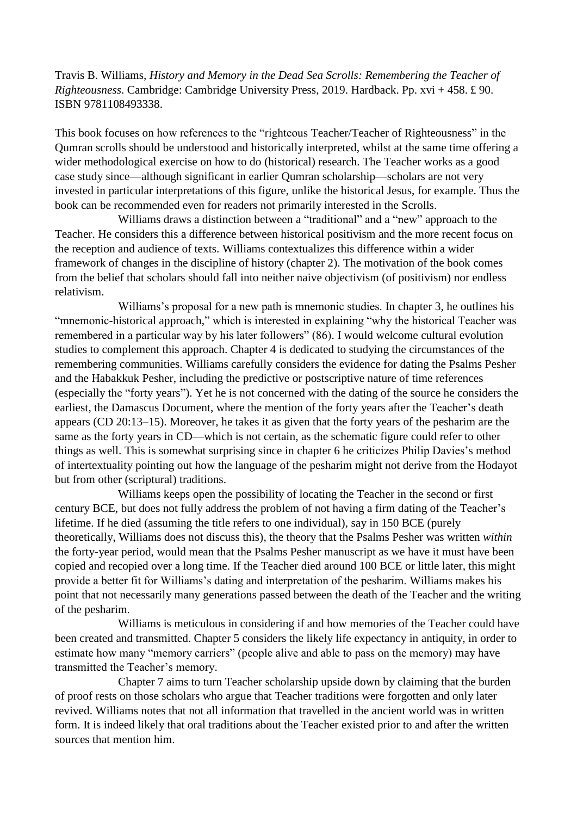Travis B. Williams, *History and Memory in the Dead Sea Scrolls: Remembering the Teacher of Righteousness*. Cambridge: Cambridge University Press, 2019. Hardback. Pp. xvi + 458. £ 90. ISBN 9781108493338.

This book focuses on how references to the "righteous Teacher/Teacher of Righteousness" in the Qumran scrolls should be understood and historically interpreted, whilst at the same time offering a wider methodological exercise on how to do (historical) research. The Teacher works as a good case study since—although significant in earlier Qumran scholarship—scholars are not very invested in particular interpretations of this figure, unlike the historical Jesus, for example. Thus the book can be recommended even for readers not primarily interested in the Scrolls.

Williams draws a distinction between a "traditional" and a "new" approach to the Teacher. He considers this a difference between historical positivism and the more recent focus on the reception and audience of texts. Williams contextualizes this difference within a wider framework of changes in the discipline of history (chapter 2). The motivation of the book comes from the belief that scholars should fall into neither naive objectivism (of positivism) nor endless relativism.

Williams's proposal for a new path is mnemonic studies. In chapter 3, he outlines his "mnemonic-historical approach," which is interested in explaining "why the historical Teacher was remembered in a particular way by his later followers" (86). I would welcome cultural evolution studies to complement this approach. Chapter 4 is dedicated to studying the circumstances of the remembering communities. Williams carefully considers the evidence for dating the Psalms Pesher and the Habakkuk Pesher, including the predictive or postscriptive nature of time references (especially the "forty years"). Yet he is not concerned with the dating of the source he considers the earliest, the Damascus Document, where the mention of the forty years after the Teacher's death appears (CD 20:13–15). Moreover, he takes it as given that the forty years of the pesharim are the same as the forty years in CD—which is not certain, as the schematic figure could refer to other things as well. This is somewhat surprising since in chapter 6 he criticizes Philip Davies's method of intertextuality pointing out how the language of the pesharim might not derive from the Hodayot but from other (scriptural) traditions.

Williams keeps open the possibility of locating the Teacher in the second or first century BCE, but does not fully address the problem of not having a firm dating of the Teacher's lifetime. If he died (assuming the title refers to one individual), say in 150 BCE (purely theoretically, Williams does not discuss this), the theory that the Psalms Pesher was written *within* the forty-year period, would mean that the Psalms Pesher manuscript as we have it must have been copied and recopied over a long time. If the Teacher died around 100 BCE or little later, this might provide a better fit for Williams's dating and interpretation of the pesharim. Williams makes his point that not necessarily many generations passed between the death of the Teacher and the writing of the pesharim.

Williams is meticulous in considering if and how memories of the Teacher could have been created and transmitted. Chapter 5 considers the likely life expectancy in antiquity, in order to estimate how many "memory carriers" (people alive and able to pass on the memory) may have transmitted the Teacher's memory.

Chapter 7 aims to turn Teacher scholarship upside down by claiming that the burden of proof rests on those scholars who argue that Teacher traditions were forgotten and only later revived. Williams notes that not all information that travelled in the ancient world was in written form. It is indeed likely that oral traditions about the Teacher existed prior to and after the written sources that mention him.